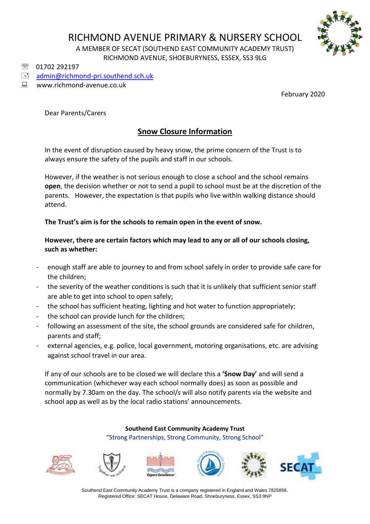# RICHMOND AVENUE PRIMARY & NURSERY SCHOOL



A MEMBER OF SECAT (SOUTHEND EAST COMMUNITY ACADEMY TRUST) RICHMOND AVENUE, SHOEBURYNESS, ESSEX, SS3 9LG

<sup>3</sup> 01702 292197

[admin@richmond-pri.southend.sch.uk](mailto:admin@richmond-pri.southend.sch.uk)

## ■ www.richmond-avenue.co.uk

February 2020

Dear Parents/Carers

# **Snow Closure Information**

In the event of disruption caused by heavy snow, the prime concern of the Trust is to always ensure the safety of the pupils and staff in our schools.

However, if the weather is not serious enough to close a school and the school remains **open**, the decision whether or not to send a pupil to school must be at the discretion of the parents. However, the expectation is that pupils who live within walking distance should attend.

## **The Trust's aim is for the schools to remain open in the event of snow.**

**However, there are certain factors which may lead to any or all of our schools closing, such as whether:**

- enough staff are able to journey to and from school safely in order to provide safe care for the children;
- the severity of the weather conditions is such that it is unlikely that sufficient senior staff are able to get into school to open safely;
- the school has sufficient heating, lighting and hot water to function appropriately;
- the school can provide lunch for the children;
- following an assessment of the site, the school grounds are considered safe for children, parents and staff;
- external agencies, e.g. police, local government, motoring organisations, etc. are advising against school travel in our area.

If any of our schools are to be closed we will declare this a **'Snow Day'** and will send a communication (whichever way each school normally does) as soon as possible and normally by 7.30am on the day. The school/s will also notify parents via the website and school app as well as by the local radio stations' announcements.

> **Southend East Community Academy Trust** "Strong Partnerships, Strong Community, Strong School"













Southend East Community Academy Trust is a company registered in England and Wales 7825856. Registered Office: SECAT House, Delaware Road, Shoeburyness, Essex, SS3 9NP